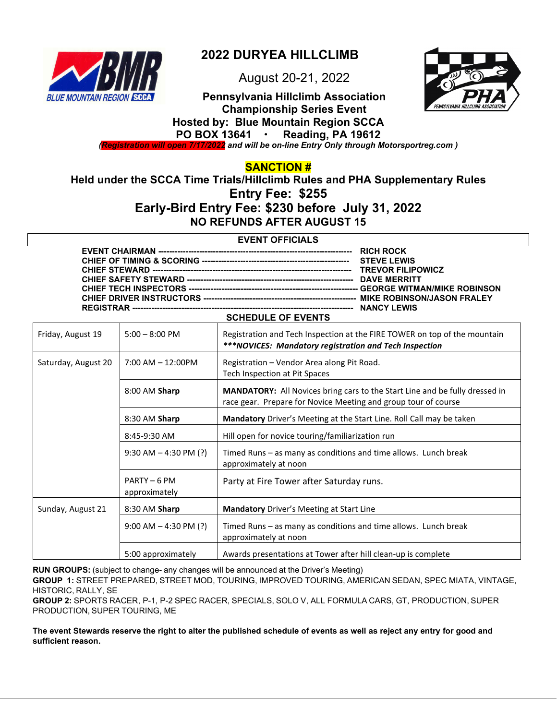

# **2022 DURYEA HILLCLIMB**

August 20-21, 2022



**Pennsylvania Hillclimb Association Championship Series Event Hosted by: Blue Mountain Region SCCA PO BOX 13641 Reading, PA 19612** 

*(Registration will open 7/17/2022 and will be on-line Entry Only through Motorsportreg.com )* 

**SANCTION #** 

**Held under the SCCA Time Trials/Hillclimb Rules and PHA Supplementary Rules Entry Fee: \$255 Early-Bird Entry Fee: \$230 before July 31, 2022** 

**NO REFUNDS AFTER AUGUST 15** 

### **EVENT OFFICIALS**

| COUEDIJI E OE EVENTO |  |  |  |
|----------------------|--|--|--|
|                      |  |  |  |
|                      |  |  |  |
|                      |  |  |  |
|                      |  |  |  |
|                      |  |  |  |
|                      |  |  |  |
|                      |  |  |  |
|                      |  |  |  |
|                      |  |  |  |

|                     |                               | JUILDULL UI LVLIIIU                                                                                                                           |
|---------------------|-------------------------------|-----------------------------------------------------------------------------------------------------------------------------------------------|
| Friday, August 19   | $5:00 - 8:00$ PM              | Registration and Tech Inspection at the FIRE TOWER on top of the mountain<br>***NOVICES: Mandatory registration and Tech Inspection           |
| Saturday, August 20 | $7:00$ AM $-12:00$ PM         | Registration - Vendor Area along Pit Road.<br>Tech Inspection at Pit Spaces                                                                   |
|                     | 8:00 AM Sharp                 | MANDATORY: All Novices bring cars to the Start Line and be fully dressed in<br>race gear. Prepare for Novice Meeting and group tour of course |
|                     | 8:30 AM Sharp                 | Mandatory Driver's Meeting at the Start Line. Roll Call may be taken                                                                          |
|                     | 8:45-9:30 AM                  | Hill open for novice touring/familiarization run                                                                                              |
|                     | $9:30$ AM $-$ 4:30 PM (?)     | Timed Runs – as many as conditions and time allows. Lunch break<br>approximately at noon                                                      |
|                     | PARTY - 6 PM<br>approximately | Party at Fire Tower after Saturday runs.                                                                                                      |
| Sunday, August 21   | 8:30 AM Sharp                 | <b>Mandatory</b> Driver's Meeting at Start Line                                                                                               |
|                     | $9:00$ AM $-4:30$ PM (?)      | Timed Runs - as many as conditions and time allows. Lunch break<br>approximately at noon                                                      |
|                     | 5:00 approximately            | Awards presentations at Tower after hill clean-up is complete                                                                                 |

**RUN GROUPS:** (subject to change- any changes will be announced at the Driver's Meeting)

**GROUP 1:** STREET PREPARED, STREET MOD, TOURING, IMPROVED TOURING, AMERICAN SEDAN, SPEC MIATA, VINTAGE, HISTORIC, RALLY, SE

**GROUP 2:** SPORTS RACER, P-1, P-2 SPEC RACER, SPECIALS, SOLO V, ALL FORMULA CARS, GT, PRODUCTION, SUPER PRODUCTION, SUPER TOURING, ME

**The event Stewards reserve the right to alter the published schedule of events as well as reject any entry for good and sufficient reason.**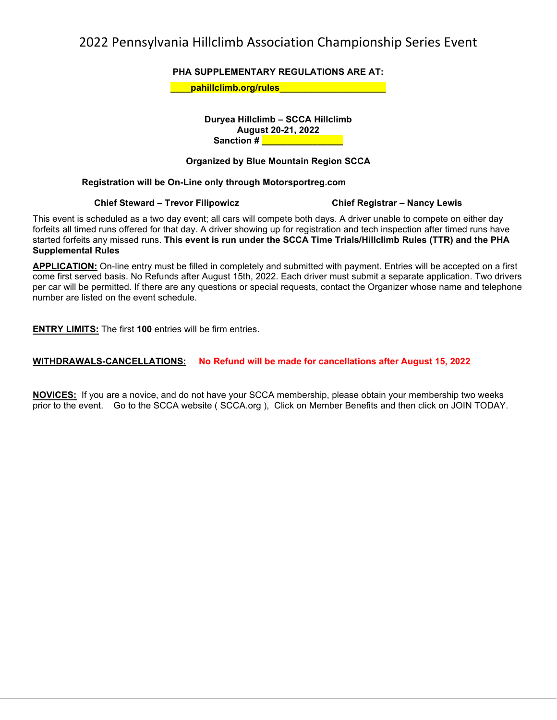# 2022 Pennsylvania Hillclimb Association Championship Series Event

**PHA SUPPLEMENTARY REGULATIONS ARE AT:** 

**Example 1 Definition of the set of the set of the set of the set of the set of the set of the set of the set o** 

**Duryea Hillclimb – SCCA Hillclimb August 20-21, 2022 Sanction # \_\_\_\_\_\_\_\_\_\_\_\_\_\_** 

### **Organized by Blue Mountain Region SCCA**

### **Registration will be On-Line only through Motorsportreg.com**

### **Chief Steward – Trevor Filipowicz Chief Registrar – Nancy Lewis**

This event is scheduled as a two day event; all cars will compete both days. A driver unable to compete on either day forfeits all timed runs offered for that day. A driver showing up for registration and tech inspection after timed runs have started forfeits any missed runs. **This event is run under the SCCA Time Trials/Hillclimb Rules (TTR) and the PHA Supplemental Rules**

**APPLICATION:** On-line entry must be filled in completely and submitted with payment. Entries will be accepted on a first come first served basis. No Refunds after August 15th, 2022. Each driver must submit a separate application. Two drivers per car will be permitted. If there are any questions or special requests, contact the Organizer whose name and telephone number are listed on the event schedule.

**ENTRY LIMITS:** The first **100** entries will be firm entries.

### **WITHDRAWALS-CANCELLATIONS: No Refund will be made for cancellations after August 15, 2022**

**NOVICES:** If you are a novice, and do not have your SCCA membership, please obtain your membership two weeks prior to the event. Go to the SCCA website ( SCCA.org ), Click on Member Benefits and then click on JOIN TODAY.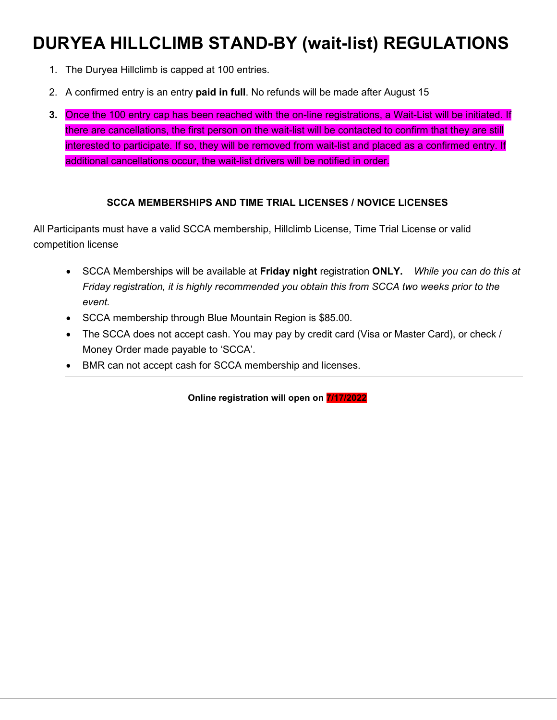# **DURYEA HILLCLIMB STAND-BY (wait-list) REGULATIONS**

- 1. The Duryea Hillclimb is capped at 100 entries.
- 2. A confirmed entry is an entry **paid in full**. No refunds will be made after August 15
- **3.** Once the 100 entry cap has been reached with the on-line registrations, a Wait-List will be initiated. If there are cancellations, the first person on the wait-list will be contacted to confirm that they are still interested to participate. If so, they will be removed from wait-list and placed as a confirmed entry. If additional cancellations occur, the wait-list drivers will be notified in order.

### **SCCA MEMBERSHIPS AND TIME TRIAL LICENSES / NOVICE LICENSES**

All Participants must have a valid SCCA membership, Hillclimb License, Time Trial License or valid competition license

- SCCA Memberships will be available at **Friday night** registration **ONLY.** *While you can do this at Friday registration, it is highly recommended you obtain this from SCCA two weeks prior to the event.*
- SCCA membership through Blue Mountain Region is \$85.00.
- The SCCA does not accept cash. You may pay by credit card (Visa or Master Card), or check / Money Order made payable to 'SCCA'.
- BMR can not accept cash for SCCA membership and licenses.

**Online registration will open on 7/17/2022**